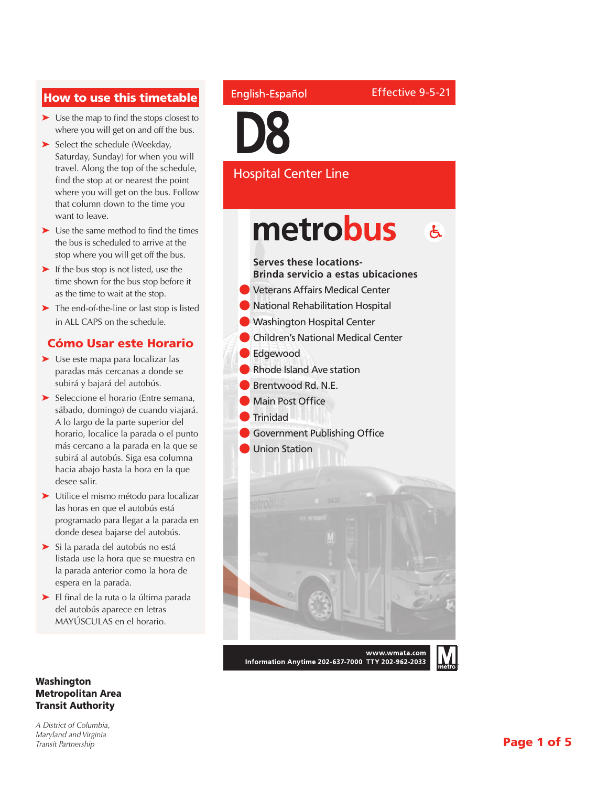#### How to use this timetable

- ➤ Use the map to find the stops closest to where you will get on and off the bus.
- ➤ Select the schedule (Weekday, Saturday, Sunday) for when you will travel. Along the top of the schedule, find the stop at or nearest the point where you will get on the bus. Follow that column down to the time you want to leave.
- ➤ Use the same method to find the times the bus is scheduled to arrive at the stop where you will get off the bus.
- ► If the bus stop is not listed, use the time shown for the bus stop before it as the time to wait at the stop.
- ➤ The end-of-the-line or last stop is listed in ALL CAPS on the schedule.

#### Cómo Usar este Horario

- ➤ Use este mapa para localizar las paradas más cercanas a donde se subirá y bajará del autobús.
- ➤ Seleccione el horario (Entre semana, sábado, domingo) de cuando viajará. A lo largo de la parte superior del horario, localice la parada o el punto más cercano a la parada en la que se subirá al autobús. Siga esa columna hacia abajo hasta la hora en la que desee salir.
- ➤ Utilice el mismo método para localizar las horas en que el autobús está programado para llegar a la parada en donde desea bajarse del autobús.
- ➤ Si la parada del autobús no está listada use la hora que se muestra en la parada anterior como la hora de espera en la parada.
- ➤ El final de la ruta o la última parada del autobús aparece en letras MAYÚSCULAS en el horario.

#### Washington Metropolitan Area Transit Authority

*A District of Columbia, Maryland and Virginia Transit Partnership*

#### English-Español

Effective 9-5-21



#### Hospital Center Line

#### metrobus  $\mathbf{A}$

#### **Serves these locations-Brinda servicio a estas ubicaciones**

- l Veterans Affairs Medical Center
- **National Rehabilitation Hospital**
- **Washington Hospital Center**
- l Children's National Medical Center
- l Edgewood
- l Rhode Island Ave station
- l Brentwood Rd. N.E.
- **Main Post Office**
- l Trinidad
	- **Government Publishing Office**
	- **Union Station**



Information Anytime 202-637-7000 TTY 202-962-2033

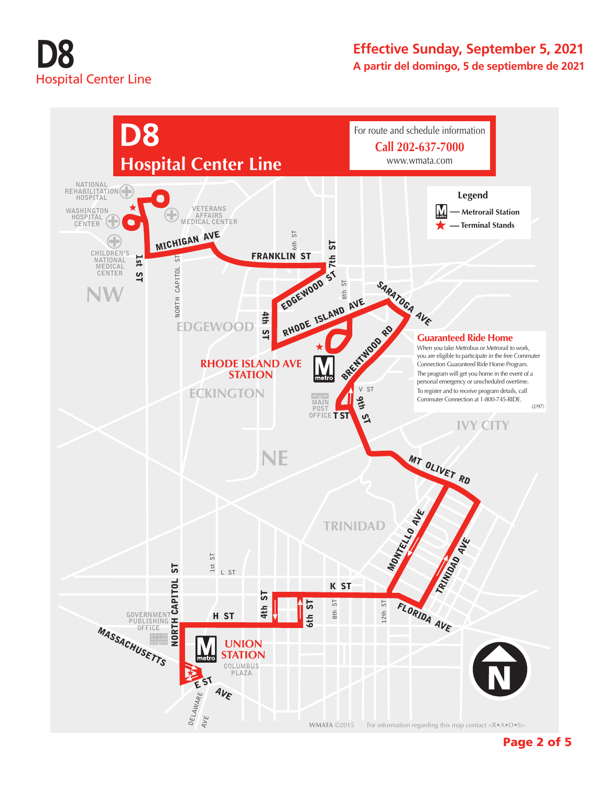## **D8** Hospital Center Line

#### **Effective Sunday, September 5, 2021 A partir del domingo, 5 de septiembre de 2021**



Page 2 of 5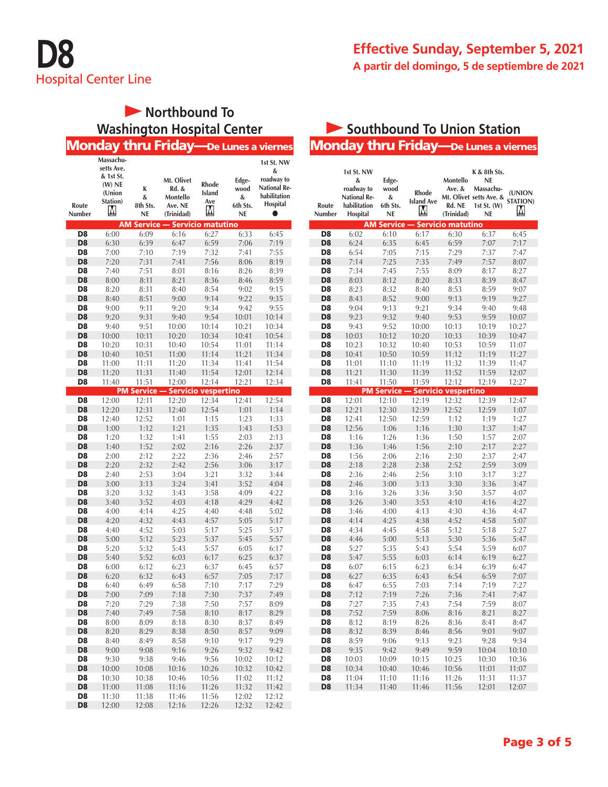## **D8** Hospital Center Line

#### **Effective Sunday, September 5, 2021 A partir del domingo, 5 de septiembre de 2021**

#### **Northbound To Washington Hospital Center**

|                                  |                    |                            | <b>Monday thru Friday—De Lunes a viernes</b> |                        |                |                     |
|----------------------------------|--------------------|----------------------------|----------------------------------------------|------------------------|----------------|---------------------|
|                                  | Massachu-          |                            |                                              |                        |                |                     |
|                                  | setts Ave.         |                            |                                              |                        |                | 1st St. NW<br>&     |
|                                  | & 1st St.          |                            | Mt. Olivet                                   |                        | Edge-          | roadway to          |
|                                  | $(W)$ NE           | K                          | Rd. &                                        | Rhode<br><b>Island</b> | wood           | <b>National Re-</b> |
|                                  | (Union<br>Station) | &                          | Montello                                     | Ave                    | &              | habilitation        |
| Route                            | M                  | 8th Sts.                   | Ave. NE                                      | М                      | 6th Sts.       | Hospital            |
| Number                           |                    | NE                         | (Trinidad)                                   |                        | NE             |                     |
| D <sub>8</sub>                   | 6:00               | AM Service<br>6:09         | <b>Servicio matutino</b><br>6:16             | 6:27                   | 6:33           | 6:45                |
| D <sub>8</sub>                   | 6:30               | 6:39                       | 6:47                                         | 6:59                   | 7:06           | 7:19                |
| D <sub>8</sub>                   | 7:00               | 7:10                       | 7:19                                         | 7:32                   | 7:41           | 7:55                |
| D <sub>8</sub>                   | 7:20               | 7:31                       | 7:41                                         | 7:56                   | 8:06           | 8:19                |
| D <sub>8</sub>                   | 7:40               | 7:51                       | 8:01                                         | 8:16                   | 8:26           | 8:39                |
| D <sub>8</sub>                   | 8:00               | 8:11                       | 8:21                                         | 8:36                   | 8:46           | 8:59                |
| D <sub>8</sub>                   | 8:20               | 8:31                       | 8:40                                         | 8:54                   | 9:02           | 9:15                |
| D <sub>8</sub>                   | 8:40               | 8:51                       | 9:00                                         | 9:14                   | 9:22           | 9:35                |
| D <sub>8</sub>                   | 9:00               | 9:11                       | 9:20                                         | 9:34                   | 9:42           | 9:55                |
| D <sub>8</sub>                   | 9:20               | 9:31                       | 9:40                                         | 9:54                   | 10:01          | 10:14               |
| D <sub>8</sub>                   | 9:40               | 9:51                       | 10:00                                        | 10:14                  | 10:21          | 10:34               |
| D <sub>8</sub>                   | 10:00              | 10:11                      | 10:20                                        | 10:34                  | 10:41          | 10:54               |
| D8                               | 10:20              | 10:31                      | 10:40                                        | 10:54                  | 11:01          | 11:14               |
| D <sub>8</sub>                   | 10:40              | 10:51                      | 11:00                                        | 11:14                  | 11:21          | 11:34               |
| D8                               | 11:00              | 11:11                      | 11:20                                        | 11:34                  | 11:41          | 11:54               |
| D <sub>8</sub><br>D <sub>8</sub> | 11:20<br>11:40     | 11:31                      | 11:40<br>12:00                               | 11:54                  | 12:01<br>12:21 | 12:14<br>12:34      |
|                                  |                    | 11:51<br><b>PM Service</b> | <b>Servicio vespertino</b>                   | 12:14                  |                |                     |
| D <sub>8</sub>                   | 12:00              | 12:11                      | 12:20                                        | 12:34                  | 12:41          | 12:54               |
| D <sub>8</sub>                   | 12:20              | 12:31                      | 12:40                                        | 12:54                  | 1:01           | 1:14                |
| D <sub>8</sub>                   | 12:40              | 12:52                      | 1:01                                         | 1:15                   | 1:23           | 1:33                |
| D <sub>8</sub>                   | 1:00               | 1:12                       | 1:21                                         | 1:35                   | 1:43           | 1:53                |
| D8                               | 1:20               | 1:32                       | 1:41                                         | 1:55                   | 2:03           | 2:13                |
| D <sub>8</sub>                   | 1:40               | 1:52                       | 2:02                                         | 2:16                   | 2:26           | 2:37                |
| D <sub>8</sub>                   | 2:00               | 2:12                       | 2:22                                         | 2:36                   | 2:46           | 2:57                |
| D <sub>8</sub>                   | 2:20               | 2:32                       | 2:42                                         | 2:56                   | 3:06           | 3:17                |
| D8                               | 2:40               | 2:53                       | 3:04                                         | 3:21                   | 3:32           | 3:44                |
| D <sub>8</sub>                   | 3:00               | 3:13                       | 3:24                                         | 3:41                   | 3:52           | 4:04                |
| D <sub>8</sub>                   | 3:20               | 3:32                       | 3:43                                         | 3:58                   | 4:09           | 4:22                |
| D <sub>8</sub><br>D <sub>8</sub> | 3:40<br>4:00       | 3:52<br>4:14               | 4:03<br>4:25                                 | 4:18<br>4:40           | 4:29<br>4:48   | 4:42<br>5:02        |
| D <sub>8</sub>                   | 4:20               | 4:32                       | 4:43                                         | 4:57                   | 5:05           | 5:17                |
| D8                               | 4:40               | 4:52                       | 5:03                                         | 5:17                   | 5:25           | 5:37                |
| D <sub>8</sub>                   | 5:00               | 5:12                       | 5:23                                         | 5:37                   | 5:45           | 5:57                |
| D8                               | 5:20               | 5:32                       | 5:43                                         | 5:57                   | 6:05           | 6:17                |
| D <sub>8</sub>                   | 5:40               | 5:52                       | 6:03                                         | 6:17                   | 6:25           | 6:37                |
| D <sub>8</sub>                   | 6:00               | 6:12                       | 6:23                                         | 6:37                   | 6:45           | 6:57                |
| D8                               | 6:20               | 6:32                       | 6:43                                         | 6:57                   | 7:05           | 7:17                |
| D <sub>8</sub>                   | 6:40               | 6:49                       | 6:58                                         | 7:10                   | 7:17           | 7:29                |
| D <sub>8</sub>                   | 7:00               | 7:09                       | 7:18                                         | 7:30                   | 7:37           | 7:49                |
| D8                               | 7:20               | 7:29                       | 7:38                                         | 7:50                   | 7:57           | 8:09                |
| D <sub>8</sub>                   | 7:40               | 7:49                       | 7:58                                         | 8:10                   | 8:17           | 8:29                |
| D8<br>D <sub>8</sub>             | 8:00<br>8:20       | 8:09<br>8:29               | 8:18<br>8:38                                 | 8:30<br>8:50           | 8:37<br>8:57   | 8:49<br>9:09        |
| D <sub>8</sub>                   | 8:40               | 8:49                       | 8:58                                         | 9:10                   | 9:17           | 9:29                |
| D <sub>8</sub>                   | 9:00               | 9:08                       | 9:16                                         | 9:26                   | 9:32           | 9:42                |
| D <sub>8</sub>                   | 9:30               | 9:38                       | 9:46                                         | 9:56                   | 10:02          | 10:12               |
| D <sub>8</sub>                   | 10:00              | 10:08                      | 10:16                                        | 10:26                  | 10:32          | 10:42               |
| D8                               | 10:30              | 10:38                      | 10:46                                        | 10:56                  | 11:02          | 11:12               |
| D <sub>8</sub>                   | 11:00              | 11:08                      | 11:16                                        | 11:26                  | 11:32          | 11:42               |
| D8                               | 11:30              | 11:38                      | 11:46                                        | 11:56                  | 12:02          | 12:12               |
| D <sub>8</sub>                   | 12:00              | 12:08                      | 12:16                                        | 12:26                  | 12:32          | 12:42               |

#### Monday thru Friday—De Lunes a viernes **Southbound To Union Station**

| Route<br>Number      | 1st St. NW<br>&<br>roadway to<br><b>National Re-</b><br>habilitation<br>Hospital | Edge-<br>wood<br>&<br>6th Sts.<br>NE | <b>Rhode</b><br><b>Island Ave</b><br>M | Montello<br>Ave. &<br>Rd. NE<br>(Trinidad) | K & 8th Sts.<br><b>NE</b><br>Massachu-<br>Mt. Olivet setts Ave. &<br>1st St. $(W)$<br>NE | (UNION<br><b>STATION)</b><br>М |
|----------------------|----------------------------------------------------------------------------------|--------------------------------------|----------------------------------------|--------------------------------------------|------------------------------------------------------------------------------------------|--------------------------------|
|                      |                                                                                  | <b>AM Service</b>                    | - Servicio matutino                    |                                            |                                                                                          |                                |
| D <sub>8</sub>       | 6:02                                                                             | 6:10                                 | 6:17                                   | 6:30                                       | 6:37                                                                                     | 6:45                           |
| D <sub>8</sub>       | 6:24                                                                             | 6:35                                 | 6:45                                   | 6:59                                       | 7:07                                                                                     | 7:17                           |
| D <sub>8</sub>       | 6:54                                                                             | 7:05                                 | 7:15                                   | 7:29                                       | 7:37                                                                                     | 7:47                           |
| D <sub>8</sub>       | 7:14                                                                             | 7:25                                 | 7:35                                   | 7:49                                       | 7:57                                                                                     | 8:07                           |
| D <sub>8</sub>       | 7:34                                                                             | 7:45                                 | 7:55                                   | 8:09                                       | 8:17                                                                                     | 8:27                           |
| D <sub>8</sub>       | 8:03                                                                             | 8:12                                 | 8:20                                   | 8:33                                       | 8:39                                                                                     | 8:47                           |
| D <sub>8</sub>       | 8:23                                                                             | 8:32                                 | 8:40                                   | 8:53                                       | 8:59                                                                                     | 9:07                           |
| D <sub>8</sub>       | 8:43                                                                             | 8:52                                 | 9:00                                   | 9:13                                       | 9:19                                                                                     | 9:27                           |
| D <sub>8</sub>       | 9:04                                                                             | 9:13                                 | 9:21                                   | 9:34                                       | 9:40                                                                                     | 9:48                           |
| D <sub>8</sub>       | 9:23                                                                             | 9:32                                 | 9:40                                   | 9:53                                       | 9:59                                                                                     | 10:07                          |
| D <sub>8</sub>       | 9:43                                                                             | 9:52                                 | 10:00                                  | 10:13                                      | 10:19                                                                                    | 10:27                          |
| D <sub>8</sub>       | 10:03                                                                            | 10:12                                | 10:20                                  | 10:33                                      | 10:39                                                                                    | 10:47                          |
| D <sub>8</sub>       | 10:23                                                                            | 10:32                                | 10:40                                  | 10:53                                      | 10:59                                                                                    | 11:07                          |
| D <sub>8</sub>       | 10:41                                                                            | 10:50                                | 10:59                                  | 11:12                                      | 11:19                                                                                    | 11:27                          |
| D <sub>8</sub>       | 11:01                                                                            | 11:10                                | 11:19                                  | 11:32                                      | 11:39                                                                                    | 11:47                          |
| D <sub>8</sub>       | 11:21                                                                            | 11:30                                | 11:39                                  | 11:52                                      | 11:59                                                                                    | 12:07                          |
| D <sub>8</sub>       | 11:41                                                                            | 11:50                                | 11:59                                  | 12:12                                      | 12:19                                                                                    | 12:27                          |
|                      |                                                                                  | <b>PM Service -</b>                  |                                        | <b>Servicio vespertino</b>                 |                                                                                          |                                |
| D <sub>8</sub>       | 12:01                                                                            | 12:10                                | 12:19                                  | 12:32                                      | 12:39                                                                                    | 12:47                          |
| D <sub>8</sub>       | 12:21                                                                            | 12:30                                | 12:39                                  | 12:52                                      | 12:59                                                                                    | 1:07                           |
| D <sub>8</sub>       | 12:41                                                                            | 12:50                                | 12:59                                  | 1:12                                       | 1:19                                                                                     | 1:27                           |
| D <sub>8</sub>       | 12:56                                                                            | 1:06                                 | 1:16                                   | 1:30                                       | 1:37                                                                                     | 1:47                           |
| D <sub>8</sub>       | 1:16                                                                             | 1:26                                 | 1:36                                   | 1:50                                       | 1:57                                                                                     | 2:07                           |
| D <sub>8</sub>       | 1:36                                                                             | 1:46                                 | 1:56                                   | 2:10                                       | 2:17                                                                                     | 2:27                           |
| D <sub>8</sub>       | 1:56                                                                             | 2:06                                 | 2:16                                   | 2:30                                       | 2:37                                                                                     | 2:47                           |
| D <sub>8</sub>       | 2:18                                                                             | 2:28                                 | 2:38                                   | 2:52                                       | 2:59                                                                                     | 3:09                           |
| D8                   | 2:36                                                                             | 2:46                                 | 2:56                                   | 3:10                                       | 3:17                                                                                     | 3:27                           |
| D <sub>8</sub>       | 2:46                                                                             | 3:00                                 | 3:13                                   | 3:30                                       | 3:36                                                                                     | 3:47                           |
| D <sub>8</sub>       | 3:16                                                                             | 3:26                                 | 3:36                                   | 3:50                                       | 3:57                                                                                     | 4:07                           |
| D <sub>8</sub>       | 3:26                                                                             | 3:40                                 | 3:53                                   | 4:10                                       | 4:16                                                                                     | 4:27                           |
| D <sub>8</sub>       | 3:46                                                                             | 4:00                                 | 4:13                                   | 4:30                                       | 4:36                                                                                     | 4:47                           |
| D <sub>8</sub>       | 4:14                                                                             | 4:25                                 | 4:38                                   | 4:52                                       | 4:58                                                                                     | 5:07                           |
| D <sub>8</sub>       | 4:34                                                                             | 4:45                                 | 4:58                                   | 5:12                                       | 5:18                                                                                     | 5:27                           |
| D <sub>8</sub>       | 4:46                                                                             | 5:00                                 | 5:13                                   | 5:30                                       | 5:36                                                                                     | 5:47                           |
| D <sub>8</sub>       | 5:27                                                                             | 5:35                                 | 5:43                                   | 5:54                                       | 5:59                                                                                     | 6:07                           |
| D <sub>8</sub>       | 5:47                                                                             | 5:55                                 | 6:03                                   | 6:14                                       | 6:19                                                                                     | 6:27                           |
| D <sub>8</sub>       | 6:07                                                                             | 6:15                                 | 6:23                                   | 6:34                                       | 6:39                                                                                     | 6:47                           |
| D <sub>8</sub>       | 6:27                                                                             | 6:35                                 | 6:43                                   | 6:54                                       | 6:59                                                                                     | 7:07                           |
| D <sub>8</sub>       | 6:47                                                                             | 6:55                                 | 7:03                                   | 7:14                                       | 7:19                                                                                     | 7:27                           |
| D <sub>8</sub>       | 7:12                                                                             | 7:19                                 | 7:26                                   | 7:36                                       | 7:41                                                                                     | 7:47                           |
| D <sub>8</sub>       | 7:27                                                                             | 7:35                                 | 7:43                                   | 7:54                                       | 7:59                                                                                     | 8:07                           |
| <b>D</b>             | /32                                                                              | 7:59                                 | 8:06                                   | 8:16                                       | 8:21                                                                                     | 8:2/                           |
| D8<br>D <sub>8</sub> | 8:12                                                                             | 8:19                                 | 8:26                                   | 8:36                                       | 8:41<br>9:01                                                                             | 8:47                           |
|                      | 8:32                                                                             | 8:39                                 | 8:46                                   | 8:56                                       |                                                                                          | 9:07                           |
| D8<br>D <sub>8</sub> | 8:59                                                                             | 9:06<br>9:42                         | 9:13                                   | 9:23<br>9:59                               | 9:28                                                                                     | 9:34<br>10:10                  |
| D8                   | 9:35<br>10:03                                                                    | 10:09                                | 9:49                                   | 10:25                                      | 10:04                                                                                    |                                |
| D <sub>8</sub>       | 10:34                                                                            | 10:40                                | 10:15<br>10:46                         | 10:56                                      | 10:30<br>11:01                                                                           | 10:36<br>11:07                 |
| D8                   | 11:04                                                                            | 11:10                                | 11:16                                  | 11:26                                      | 11:31                                                                                    | 11:37                          |
| D <sub>8</sub>       | 11:34                                                                            | 11:40                                | 11:46                                  | 11:56                                      | 12:01                                                                                    | 12:07                          |
|                      |                                                                                  |                                      |                                        |                                            |                                                                                          |                                |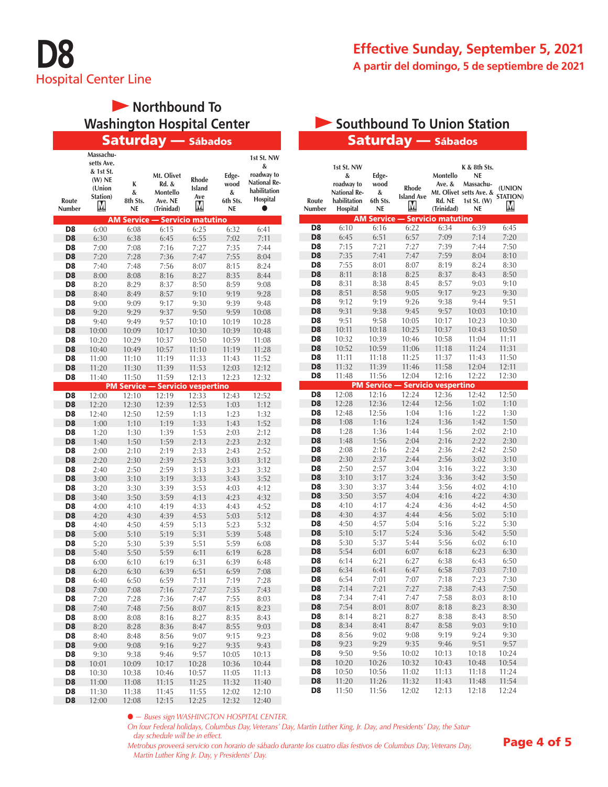

# **Morthbound To Washington Hospital Center**

|                      | Massachu-<br>setts Ave. |                     |                       |                   |                | 1st St. NW          |
|----------------------|-------------------------|---------------------|-----------------------|-------------------|----------------|---------------------|
|                      | & 1st St.               |                     |                       |                   |                | &                   |
|                      | $(W)$ NE                |                     | Mt. Olivet            | Rhode             | Edge-          | roadway to          |
|                      | (Union                  | K                   | Rd. &                 | <b>Island</b>     | wood           | <b>National Re-</b> |
|                      | Station)                | &                   | Montello              | Ave               | &              | habilitation        |
| Route                | М                       | 8th Sts.            | Ave. NE               | М                 | 6th Sts.       | Hospital            |
| Number               |                         | <b>NE</b>           | (Trinidad)            |                   | <b>NE</b>      |                     |
|                      |                         | <b>AM Service -</b> |                       | Servicio matutino |                |                     |
| D8                   | 6:00                    | 6:08                | 6:15                  | 6:25              | 6:32           | 6:41                |
| D <sub>8</sub>       | 6:30                    | 6:38                | 6:45                  | 6:55              | 7:02           | 7:11                |
| D <sub>8</sub>       | 7:00                    | 7:08                | 7:16                  | 7:27              | 7:35           | 7:44                |
| D <sub>8</sub>       | 7:20                    | 7:28                | 7:36                  | 7:47              | 7:55           | 8:04                |
| D8                   | 7:40                    | 7:48                | 7:56                  | 8:07              | 8:15           | 8:24                |
| D <sub>8</sub>       | 8:00                    | 8:08                | 8:16                  | 8:27              | 8:35           | 8:44                |
| D <sub>8</sub>       | 8:20                    | 8:29                | 8:37                  | 8:50              | 8:59           | 9:08                |
| D <sub>8</sub>       |                         |                     | 8:57                  |                   |                | 9:28                |
|                      | 8:40                    | 8:49                |                       | 9:10              | 9:19           |                     |
| D <sub>8</sub>       | 9:00                    | 9:09                | 9:17                  | 9:30              | 9:39           | 9:48                |
| D <sub>8</sub>       | 9:20                    | 9:29                | 9:37                  | 9:50              | 9:59           | 10:08               |
| D8                   | 9:40                    | 9:49                | 9:57                  | 10:10             | 10:19          | 10:28               |
| D <sub>8</sub>       | 10:00                   | 10:09               | 10:17                 | 10:30             | 10:39          | 10:48               |
| D8                   | 10:20                   | 10:29               | 10:37                 | 10:50             | 10:59          | 11:08               |
| D <sub>8</sub>       | 10:40                   | 10:49               | 10:57                 | 11:10             | 11:19          | 11:28               |
| D8                   | 11:00                   | 11:10               | 11:19                 | 11:33             | 11:43          | 11:52               |
| D <sub>8</sub>       | 11:20                   | 11:30               | 11:39                 | 11:53             | 12:03          | 12:12               |
| D <sub>8</sub>       | 11:40                   | 11:50               | 11:59                 | 12:13             | 12:23          | 12:32               |
|                      |                         | <b>PM</b> Service - | - Servicio vespertino |                   |                |                     |
| D8                   | 12:00                   | 12:10               | 12:19                 | 12:33             | 12:43          | 12:52               |
| D <sub>8</sub>       | 12:20                   | 12:30               | 12:39                 | 12:53             | 1:03           | 1:12                |
| D <sub>8</sub>       | 12:40                   | 12:50               | 12:59                 | 1:13              | 1:23           | 1:32                |
| D8                   | 1:00                    | 1:10                | 1:19                  | 1:33              | 1:43           | 1:52                |
| D8                   | 1:20                    | 1:30                | 1:39                  | 1:53              | 2:03           | 2:12                |
| D <sub>8</sub>       | 1:40                    | 1:50                | 1:59                  | 2:13              | 2:23           | 2:32                |
| D8                   | 2:00                    | 2:10                | 2:19                  | 2:33              | 2:43           | 2:52                |
| D <sub>8</sub>       | 2:20                    | 2:30                | 2:39                  | 2:53              | 3:03           | 3:12                |
| D <sub>8</sub>       | 2:40                    | 2:50                | 2:59                  | 3:13              | 3:23           | 3:32                |
| D <sub>8</sub>       | 3:00                    | 3:10                | 3:19                  | 3:33              | 3:43           | 3:52                |
| D <sub>8</sub>       | 3:20                    | 3:30                | 3:39                  | 3:53              | 4:03           | 4:12                |
|                      |                         |                     |                       |                   |                |                     |
| D <sub>8</sub>       | 3:40                    | 3:50                | 3:59                  | 4:13              | 4:23           | 4:32                |
| D8                   | 4:00                    | 4:10                | 4:19                  | 4:33              | 4:43           | 4:52                |
| D <sub>8</sub>       | 4:20                    | 4:30                | 4:39                  | 4:53              | 5:03           | 5:12                |
| D <sub>8</sub>       | 4:40                    | 4:50                | 4:59                  | 5:13              | 5:23           | 5:32                |
| D <sub>8</sub>       | 5:00                    | 5:10                | 5:19                  | 5:31              | 5:39           | 5:48                |
| D8                   | 5:20                    | 5:30                | 5:39                  | 5:51              | 5:59           | 6:08                |
| D <sub>8</sub>       | 5:40                    | 5:50                | 5:59                  | 6:11              | 6:19           | 6:28                |
| D8                   | 6:00                    | 6:10                | 6:19                  | 6:31              | 6:39           | 6:48                |
| D <sub>8</sub>       | 6:20                    | 6:30                | 6:39                  | 6:51              | 6:59           | 7:08                |
| D8                   | 6:40                    | 6:50                | 6:59                  | 7:11              | 7:19           | 7:28                |
| D8                   | 7:00                    | 7:08                | 7:16                  | 7:27              | 7:35           | 7:43                |
| D8                   | 7:20                    | 7:28                | 7:36                  | 7:47              | 7:55           | 8:03                |
| D <sub>8</sub>       | 7:40                    | 7:48                | 7:56                  | 8:07              | 8:15           | 8:23                |
| D8                   | 8:00                    | 8:08                | 8:16                  | 8:27              | 8:35           | 8:43                |
| D <sub>8</sub>       | 8:20                    | 8:28                | 8:36                  | 8:47              | 8:55           | 9:03                |
|                      |                         | 8:48                | 8:56                  | 9:07              | 9:15           | 9:23                |
| D8                   | 8:40                    |                     |                       |                   |                |                     |
| D <sub>8</sub>       | 9:00                    | 9:08                | 9:16                  | 9:27              | 9:35           | 9:43                |
| D <sub>8</sub>       | 9:30                    | 9:38                |                       |                   |                | 10:13               |
|                      |                         |                     | 9:46                  | 9:57              | 10:05          |                     |
| D <sub>8</sub>       | 10:01                   | 10:09               | 10:17                 | 10:28             | 10:36          | 10:44               |
| D <sub>8</sub>       | 10:30                   | 10:38               | 10:46                 | 10:57             | 11:05          | 11:13               |
| D <sub>8</sub><br>D8 | 11:00<br>11:30          | 11:08<br>11:38      | 11:15<br>11:45        | 11:25<br>11:55    | 11:32<br>12:02 | 11:40<br>12:10      |

#### Saturday — Sábados **Saturday — Sábados** Saturday — Sábados **Washington Station Station**

| Route<br>Number | 1st St. NW<br>&<br>roadway to<br><b>National Re-</b><br>habilitation<br>Hospital | Edge-<br>wood<br>&<br>6th Sts.<br><b>NE</b> | <b>Rhode</b><br><b>Island Ave</b><br>М | Montello<br>Ave. &<br>Rd. NE<br>(Trinidad) | K & 8th Sts.<br><b>NE</b><br>Massachu-<br>Mt. Olivet setts Ave. &<br>1st St. $(W)$<br>NE | (UNION<br>STATION)<br>М |
|-----------------|----------------------------------------------------------------------------------|---------------------------------------------|----------------------------------------|--------------------------------------------|------------------------------------------------------------------------------------------|-------------------------|
|                 |                                                                                  | <b>AM Service</b>                           |                                        | <b>Servicio matutino</b>                   |                                                                                          |                         |
| D <sub>8</sub>  | 6:10                                                                             | 6:16                                        | 6:22                                   | 6:34                                       | 6:39                                                                                     | 6:45                    |
| D <sub>8</sub>  | 6:45                                                                             | 6:51                                        | 6:57                                   | 7:09                                       | 7:14                                                                                     | 7:20                    |
| D <sub>8</sub>  | 7:15                                                                             | 7:21                                        | 7:27                                   | 7:39                                       | 7:44                                                                                     | 7:50                    |
| D <sub>8</sub>  | 7:35                                                                             | 7:41                                        | 7:47                                   | 7:59                                       | 8:04                                                                                     | 8:10                    |
| D <sub>8</sub>  | 7:55                                                                             | 8:01                                        | 8:07                                   | 8:19                                       | 8:24                                                                                     | 8:30                    |
| D <sub>8</sub>  | 8:11                                                                             | 8:18                                        | 8:25                                   | 8:37                                       | 8:43                                                                                     | 8:50                    |
| D8              | 8:31                                                                             | 8:38                                        | 8:45                                   | 8:57                                       | 9:03                                                                                     | 9:10                    |
| D <sub>8</sub>  | 8:51                                                                             | 8:58                                        | 9:05                                   | 9:17                                       | 9:23                                                                                     | 9:30                    |
| D8              | 9:12                                                                             | 9:19                                        | 9:26                                   | 9:38                                       | 9:44                                                                                     | 9:51                    |
| D <sub>8</sub>  | 9:31                                                                             | 9:38                                        | 9:45                                   | 9:57                                       | 10:03                                                                                    | 10:10                   |
| D <sub>8</sub>  | 9:51                                                                             | 9:58                                        | 10:05                                  | 10:17                                      | 10:23                                                                                    | 10:30                   |
| D <sub>8</sub>  | 10:11                                                                            | 10:18                                       | 10:25                                  | 10:37                                      | 10:43                                                                                    | 10:50                   |
| D <sub>8</sub>  | 10:32                                                                            | 10:39                                       | 10:46                                  | 10:58                                      | 11:04                                                                                    | 11:11                   |
| D <sub>8</sub>  | 10:52                                                                            | 10:59                                       | 11:06                                  | 11:18                                      | 11:24                                                                                    | 11:31                   |
| D8              | 11:11                                                                            | 11:18                                       | 11:25                                  | 11:37                                      | 11:43                                                                                    | 11:50                   |
| D <sub>8</sub>  | 11:32                                                                            | 11:39                                       | 11:46                                  | 11:58                                      | 12:04                                                                                    | 12:11                   |
| D <sub>8</sub>  | 11:48                                                                            | 11:56                                       | 12:04                                  | 12:16                                      | 12:22                                                                                    | 12:30                   |
|                 |                                                                                  | <b>PM Service</b>                           |                                        | <b>Servicio vespertino</b>                 |                                                                                          |                         |
| D <sub>8</sub>  | 12:08                                                                            | 12:16                                       | 12:24                                  | 12:36                                      | 12:42                                                                                    | 12:50                   |
| D <sub>8</sub>  | 12:28                                                                            | 12:36                                       | 12:44                                  | 12:56                                      | 1:02                                                                                     | 1:10                    |
| D8              | 12:48                                                                            | 12:56                                       | 1:04                                   | 1:16                                       | 1:22                                                                                     | 1:30                    |
| D <sub>8</sub>  | 1:08                                                                             | 1:16                                        | 1:24                                   | 1:36                                       | 1:42                                                                                     | 1:50                    |
| D <sub>8</sub>  | 1:28                                                                             | 1:36                                        | 1:44                                   | 1:56                                       | 2:02                                                                                     | 2:10                    |
| D <sub>8</sub>  | 1:48                                                                             | 1:56                                        | 2:04                                   | 2:16                                       | 2:22                                                                                     | 2:30                    |
| D <sub>8</sub>  | 2:08                                                                             | 2:16                                        | 2:24                                   | 2:36                                       | 2:42                                                                                     | 2:50                    |
| D <sub>8</sub>  | 2:30                                                                             | 2:37                                        | 2:44                                   | 2:56                                       | 3:02                                                                                     | 3:10                    |
| D8              | 2:50                                                                             | 2:57                                        | 3:04                                   | 3:16                                       | 3:22                                                                                     | 3:30                    |
| D <sub>8</sub>  | 3:10                                                                             | 3:17                                        | 3:24                                   | 3:36                                       | 3:42                                                                                     | 3:50                    |
| D8              | 3:30                                                                             | 3:37                                        | 3:44                                   | 3:56                                       | 4:02                                                                                     | 4:10                    |
| D <sub>8</sub>  | 3:50                                                                             | 3:57                                        | 4:04                                   | 4:16                                       | 4:22                                                                                     | 4:30                    |
| D <sub>8</sub>  | 4:10                                                                             | 4:17                                        | 4:24                                   | 4:36                                       | 4:42                                                                                     | 4:50                    |
| D <sub>8</sub>  | 4:30                                                                             | 4:37                                        | 4:44                                   | 4:56                                       | 5:02                                                                                     | 5:10                    |
| D <sub>8</sub>  | 4:50                                                                             | 4:57                                        | 5:04                                   | 5:16                                       | 5:22                                                                                     | 5:30                    |
| D <sub>8</sub>  | 5:10                                                                             | 5:17                                        | 5:24                                   | 5:36                                       | 5:42                                                                                     | 5:50                    |
| D <sub>8</sub>  | 5:30                                                                             | 5:37                                        | 5:44                                   | 5:56                                       | 6:02                                                                                     | 6:10                    |
| D <sub>8</sub>  | 5:54                                                                             | 6:01                                        | 6:07                                   | 6:18                                       | 6:23                                                                                     | 6:30                    |
| D8              | 6:14                                                                             | 6:21                                        | 6:27                                   | 6:38                                       | 6:43                                                                                     | 6:50                    |
| D <sub>8</sub>  | 6:34                                                                             | 6:41                                        | 6:47                                   | 6:58                                       | 7:03                                                                                     | 7:10                    |
| D8              | 6:54                                                                             | 7:01                                        | 7:07                                   | 7:18                                       | 7:23                                                                                     | 7:30                    |
| D <sub>8</sub>  | 7:14                                                                             | 7:21                                        | 7:27                                   | 7:38                                       | 7:43                                                                                     | 7:50                    |
| D <sub>8</sub>  | 7:34                                                                             | 7:41                                        | 7:47                                   | 7:58                                       | 8:03                                                                                     | 8:10                    |
| D8              | 7:54                                                                             | 8:01                                        | 8:07                                   | 8:18                                       | 8:23                                                                                     | 8:30                    |
| D8              | 8:14                                                                             | 8:21                                        | 8:27                                   | 8:38                                       | 8:43                                                                                     | 8:50                    |
| D <sub>8</sub>  | 8:34                                                                             | 8:41                                        | 8:47                                   | 8:58                                       | 9:03                                                                                     | 9:10                    |
| D8              | 8:56                                                                             | 9:02                                        | 9:08                                   | 9:19                                       | 9:24                                                                                     | 9:30                    |
| D <sub>8</sub>  | 9:23                                                                             | 9:29                                        | 9:35                                   | 9:46                                       | 9:51                                                                                     | 9:57                    |
| D <sub>8</sub>  | 9:50                                                                             | 9:56                                        | 10:02                                  | 10:13                                      | 10:18                                                                                    | 10:24                   |
| D <sub>8</sub>  | 10:20                                                                            | 10:26                                       | 10:32                                  | 10:43                                      | 10:48                                                                                    | 10:54                   |
| D8              | 10:50                                                                            | 10:56                                       | 11:02                                  | 11:13                                      | 11:18                                                                                    | 11:24                   |
| D <sub>8</sub>  | 11:20                                                                            | 11:26                                       | 11:32                                  | 11:43                                      | 11:48                                                                                    | 11:54                   |
| D <sub>8</sub>  | 11:50                                                                            | 11:56                                       | 12:02                                  | 12:13                                      | 12:18                                                                                    | 12:24                   |

● *— Buses sign WASHINGTON HOSPITAL CENTER.*

*On four Federal holidays, Columbus Day, Veterans' Day, Martin Luther King, Jr. Day, and Presidents' Day, the Saturday schedule will be in effect.*

*Metrobus proveerá servicio con horario de sábado durante los cuatro días festivos de Columbus Day, Veterans Day, Martin Luther King Jr. Day, y Presidents' Day.*